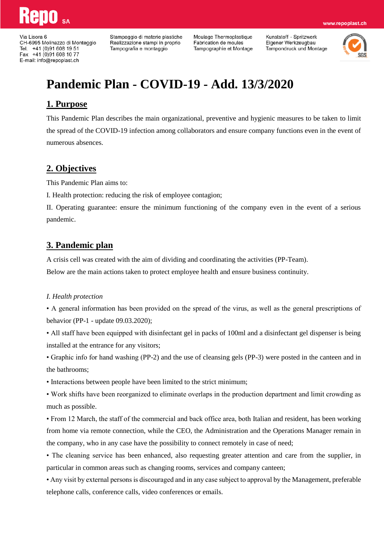Via Lisora 6 CH-6995 Molinazzo di Monteggio Tel. +41 (0)91 608 19 51 Fax +41 (0)91 608 10 77 E-mail: info@repoplast.ch

Stampaggio di materie plastiche Realizzazione stampi in proprio Tampografia e montaggio

Moulage Thermoplastique Fabrication de moules Tampographie et Montage Kunststoff - Spritzwerk Eigener Werkzeugbau Tampondruck und Montage



www.repoplast.ch

# **Pandemic Plan - COVID-19 - Add. 13/3/2020**

### **1. Purpose**

This Pandemic Plan describes the main organizational, preventive and hygienic measures to be taken to limit the spread of the COVID-19 infection among collaborators and ensure company functions even in the event of numerous absences.

## **2. Objectives**

This Pandemic Plan aims to:

I. Health protection: reducing the risk of employee contagion;

II. Operating guarantee: ensure the minimum functioning of the company even in the event of a serious pandemic.

### **3. Pandemic plan**

A crisis cell was created with the aim of dividing and coordinating the activities (PP-Team).

Below are the main actions taken to protect employee health and ensure business continuity.

#### *I. Health protection*

• A general information has been provided on the spread of the virus, as well as the general prescriptions of behavior (PP-1 - update 09.03.2020);

• All staff have been equipped with disinfectant gel in packs of 100ml and a disinfectant gel dispenser is being installed at the entrance for any visitors;

• Graphic info for hand washing (PP-2) and the use of cleansing gels (PP-3) were posted in the canteen and in the bathrooms;

• Interactions between people have been limited to the strict minimum;

• Work shifts have been reorganized to eliminate overlaps in the production department and limit crowding as much as possible.

• From 12 March, the staff of the commercial and back office area, both Italian and resident, has been working from home via remote connection, while the CEO, the Administration and the Operations Manager remain in the company, who in any case have the possibility to connect remotely in case of need;

• The cleaning service has been enhanced, also requesting greater attention and care from the supplier, in particular in common areas such as changing rooms, services and company canteen;

• Any visit by external persons is discouraged and in any case subject to approval by the Management, preferable telephone calls, conference calls, video conferences or emails.